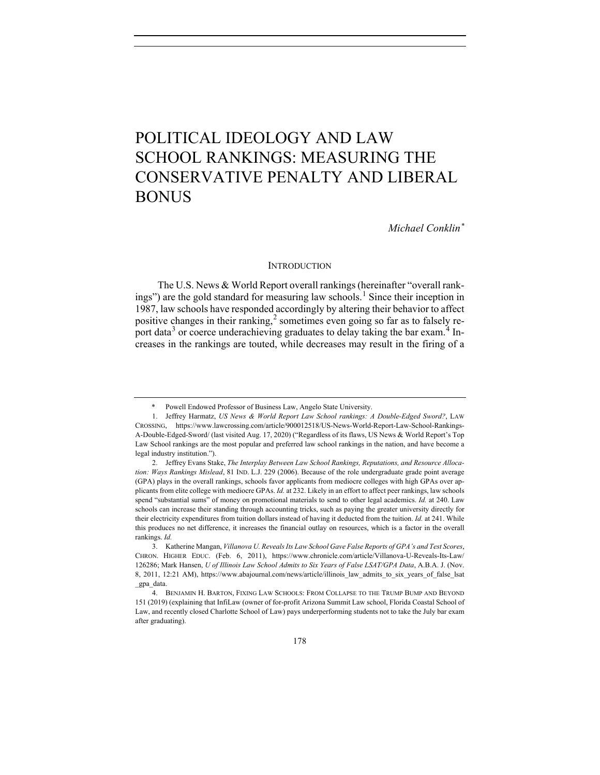# POLITICAL IDEOLOGY AND LAW SCHOOL RANKINGS: MEASURING THE CONSERVATIVE PENALTY AND LIBERAL BONUS

*Michael Conklin[\\*](#page-0-0)*

## **INTRODUCTION**

The U.S. News & World Report overall rankings (hereinafter "overall rank-ings") are the gold standard for measuring law schools.<sup>[1](#page-0-1)</sup> Since their inception in 1987, law schools have responded accordingly by altering their behavior to affect positive changes in their ranking,<sup>[2](#page-0-2)</sup> sometimes even going so far as to falsely re-port data<sup>[3](#page-0-3)</sup> or coerce underachieving graduates to delay taking the bar exam.<sup>[4](#page-0-4)</sup> Increases in the rankings are touted, while decreases may result in the firing of a

Powell Endowed Professor of Business Law, Angelo State University.

<span id="page-0-1"></span><span id="page-0-0"></span><sup>1.</sup> Jeffrey Harmatz, *US News & World Report Law School rankings: A Double-Edged Sword?*, LAW CROSSING, https://www.lawcrossing.com/article/900012518/US-News-World-Report-Law-School-Rankings-A-Double-Edged-Sword/ (last visited Aug. 17, 2020) ("Regardless of its flaws, US News & World Report's Top Law School rankings are the most popular and preferred law school rankings in the nation, and have become a legal industry institution.").

<span id="page-0-2"></span><sup>2.</sup> Jeffrey Evans Stake, *The Interplay Between Law School Rankings, Reputations, and Resource Allocation: Ways Rankings Mislead*, 81 IND. L.J. 229 (2006). Because of the role undergraduate grade point average (GPA) plays in the overall rankings, schools favor applicants from mediocre colleges with high GPAs over applicants from elite college with mediocre GPAs. *Id.* at 232. Likely in an effort to affect peer rankings, law schools spend "substantial sums" of money on promotional materials to send to other legal academics. *Id.* at 240. Law schools can increase their standing through accounting tricks, such as paying the greater university directly for their electricity expenditures from tuition dollars instead of having it deducted from the tuition. *Id.* at 241. While this produces no net difference, it increases the financial outlay on resources, which is a factor in the overall rankings. *Id.*

<span id="page-0-3"></span><sup>3.</sup> Katherine Mangan, *Villanova U. Reveals Its Law School Gave False Reports of GPA's and Test Scores*, CHRON. HIGHER EDUC. (Feb. 6, 2011), https://www.chronicle.com/article/Villanova-U-Reveals-Its-Law/ 126286; Mark Hansen, *U of Illinois Law School Admits to Six Years of False LSAT/GPA Data*, A.B.A. J. (Nov. 8, 2011, 12:21 AM), https://www.abajournal.com/news/article/illinois\_law\_admits\_to\_six\_years\_of\_false\_lsat \_gpa\_data.

<span id="page-0-4"></span><sup>4.</sup> BENJAMIN H. BARTON, FIXING LAW SCHOOLS: FROM COLLAPSE TO THE TRUMP BUMP AND BEYOND 151 (2019) (explaining that InfiLaw (owner of for-profit Arizona Summit Law school, Florida Coastal School of Law, and recently closed Charlotte School of Law) pays underperforming students not to take the July bar exam after graduating).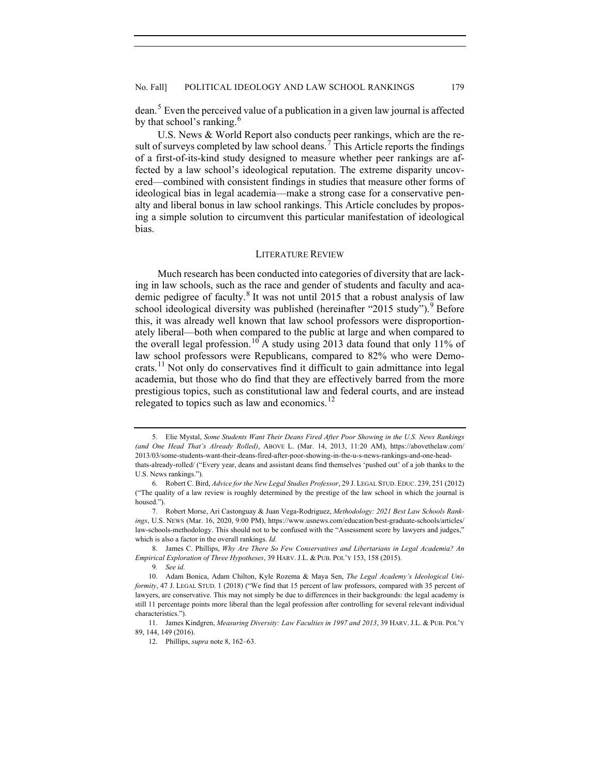dean.<sup>[5](#page-1-1)</sup> Even the perceived value of a publication in a given law journal is affected by that school's ranking.<sup>[6](#page-1-2)</sup>

U.S. News & World Report also conducts peer rankings, which are the re-sult of surveys completed by law school deans.<sup>[7](#page-1-3)</sup> This Article reports the findings of a first-of-its-kind study designed to measure whether peer rankings are affected by a law school's ideological reputation. The extreme disparity uncovered—combined with consistent findings in studies that measure other forms of ideological bias in legal academia—make a strong case for a conservative penalty and liberal bonus in law school rankings. This Article concludes by proposing a simple solution to circumvent this particular manifestation of ideological bias.

# <span id="page-1-9"></span><span id="page-1-0"></span>LITERATURE REVIEW

Much research has been conducted into categories of diversity that are lacking in law schools, such as the race and gender of students and faculty and aca-demic pedigree of faculty.<sup>[8](#page-1-4)</sup> It was not until 2015 that a robust analysis of law school ideological diversity was published (hereinafter "2015 study"). Before this, it was already well known that law school professors were disproportionately liberal—both when compared to the public at large and when compared to the overall legal profession.<sup>[10](#page-1-6)</sup> A study using 2013 data found that only 11% of law school professors were Republicans, compared to 82% who were Democrats.[11](#page-1-7) Not only do conservatives find it difficult to gain admittance into legal academia, but those who do find that they are effectively barred from the more prestigious topics, such as constitutional law and federal courts, and are instead relegated to topics such as law and economics.<sup>[12](#page-1-8)</sup>

<span id="page-1-1"></span><sup>5.</sup> Elie Mystal, *Some Students Want Their Deans Fired After Poor Showing in the U.S. News Rankings (and One Head That's Already Rolled)*, ABOVE L. (Mar. 14, 2013, 11:20 AM), https://abovethelaw.com/ 2013/03/some-students-want-their-deans-fired-after-poor-showing-in-the-u-s-news-rankings-and-one-headthats-already-rolled/ ("Every year, deans and assistant deans find themselves 'pushed out' of a job thanks to the U.S. News rankings.").

<span id="page-1-2"></span><sup>6.</sup> Robert C. Bird, *Advice for the New Legal Studies Professor*, 29 J. LEGAL STUD. EDUC. 239, 251 (2012) ("The quality of a law review is roughly determined by the prestige of the law school in which the journal is housed.").

<span id="page-1-3"></span><sup>7.</sup> Robert Morse, Ari Castonguay & Juan Vega-Rodriguez, *Methodology: 2021 Best Law Schools Rankings*, U.S. NEWS (Mar. 16, 2020, 9:00 PM), https://www.usnews.com/education/best-graduate-schools/articles/ law-schools-methodology. This should not to be confused with the "Assessment score by lawyers and judges," which is also a factor in the overall rankings. *Id.*

<span id="page-1-4"></span><sup>8.</sup> James C. Phillips, *Why Are There So Few Conservatives and Libertarians in Legal Academia? An Empirical Exploration of Three Hypotheses*, 39 HARV. J.L. & PUB. POL'Y 153, 158 (2015).

<sup>9</sup>*. See id.*

<span id="page-1-6"></span><span id="page-1-5"></span><sup>10.</sup> Adam Bonica, Adam Chilton, Kyle Rozema & Maya Sen, *The Legal Academy's Ideological Uniformity*, 47 J. LEGAL STUD. 1 (2018) ("We find that 15 percent of law professors, compared with 35 percent of lawyers, are conservative. This may not simply be due to differences in their backgrounds: the legal academy is still 11 percentage points more liberal than the legal profession after controlling for several relevant individual characteristics.").

<span id="page-1-8"></span><span id="page-1-7"></span><sup>11.</sup> James Kindgren, *Measuring Diversity: Law Faculties in 1997 and 2013*, 39 HARV. J.L. & PUB. POL'Y 89, 144, 149 (2016).

<sup>12.</sup> Phillips, *supra* not[e 8,](#page-1-0) 162–63.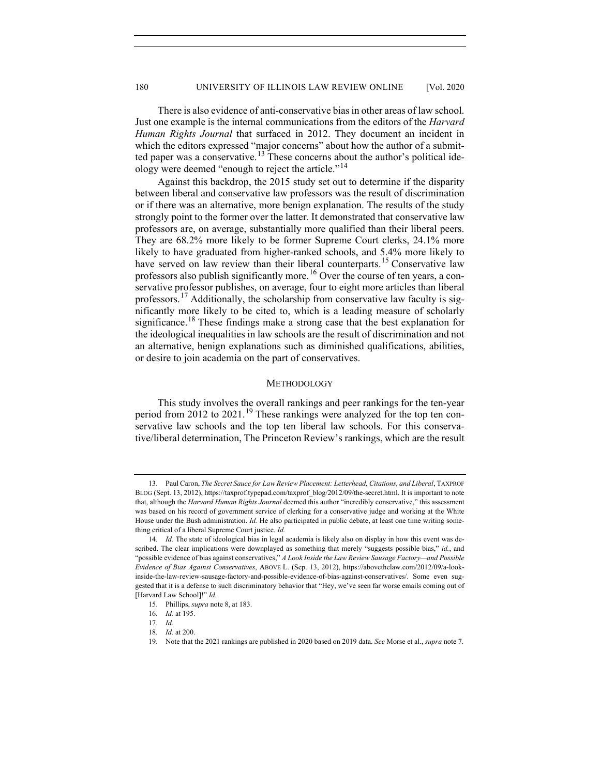There is also evidence of anti-conservative bias in other areas of law school. Just one example is the internal communications from the editors of the *Harvard Human Rights Journal* that surfaced in 2012. They document an incident in which the editors expressed "major concerns" about how the author of a submit-ted paper was a conservative.<sup>[13](#page-2-0)</sup> These concerns about the author's political ide-ology were deemed "enough to reject the article."<sup>[14](#page-2-1)</sup>

Against this backdrop, the 2015 study set out to determine if the disparity between liberal and conservative law professors was the result of discrimination or if there was an alternative, more benign explanation. The results of the study strongly point to the former over the latter. It demonstrated that conservative law professors are, on average, substantially more qualified than their liberal peers. They are 68.2% more likely to be former Supreme Court clerks, 24.1% more likely to have graduated from higher-ranked schools, and 5.4% more likely to have served on law review than their liberal counterparts.<sup>[15](#page-2-2)</sup> Conservative law professors also publish significantly more.<sup>[16](#page-2-3)</sup> Over the course of ten years, a conservative professor publishes, on average, four to eight more articles than liberal professors.<sup>[17](#page-2-4)</sup> Additionally, the scholarship from conservative law faculty is significantly more likely to be cited to, which is a leading measure of scholarly significance.<sup>[18](#page-2-5)</sup> These findings make a strong case that the best explanation for the ideological inequalities in law schools are the result of discrimination and not an alternative, benign explanations such as diminished qualifications, abilities, or desire to join academia on the part of conservatives.

# **METHODOLOGY**

This study involves the overall rankings and peer rankings for the ten-year period from 2012 to 2021.<sup>[19](#page-2-6)</sup> These rankings were analyzed for the top ten conservative law schools and the top ten liberal law schools. For this conservative/liberal determination, The Princeton Review's rankings, which are the result

<span id="page-2-0"></span><sup>13.</sup> Paul Caron, *The Secret Sauce for Law Review Placement: Letterhead, Citations, and Liberal*, TAXPROF BLOG (Sept. 13, 2012), https://taxprof.typepad.com/taxprof\_blog/2012/09/the-secret.html. It is important to note that, although the *Harvard Human Rights Journal* deemed this author "incredibly conservative," this assessment was based on his record of government service of clerking for a conservative judge and working at the White House under the Bush administration. *Id.* He also participated in public debate, at least one time writing something critical of a liberal Supreme Court justice. *Id.*

<span id="page-2-1"></span><sup>14</sup>*. Id.* The state of ideological bias in legal academia is likely also on display in how this event was described. The clear implications were downplayed as something that merely "suggests possible bias," *id.*, and "possible evidence of bias against conservatives," *A Look Inside the Law Review Sausage Factory—and Possible Evidence of Bias Against Conservatives*, ABOVE L. (Sep. 13, 2012), https://abovethelaw.com/2012/09/a-lookinside-the-law-review-sausage-factory-and-possible-evidence-of-bias-against-conservatives/. Some even suggested that it is a defense to such discriminatory behavior that "Hey, we've seen far worse emails coming out of [Harvard Law School]!" *Id.*

<sup>15.</sup> Phillips, *supra* not[e 8,](#page-1-0) at 183.

<span id="page-2-3"></span><span id="page-2-2"></span><sup>16</sup>*. Id.* at 195.

<span id="page-2-4"></span><sup>17</sup>*. Id.*

<span id="page-2-5"></span><sup>18</sup>*. Id.* at 200.

<span id="page-2-6"></span><sup>19.</sup> Note that the 2021 rankings are published in 2020 based on 2019 data. *See* Morse et al., *supra* note 7.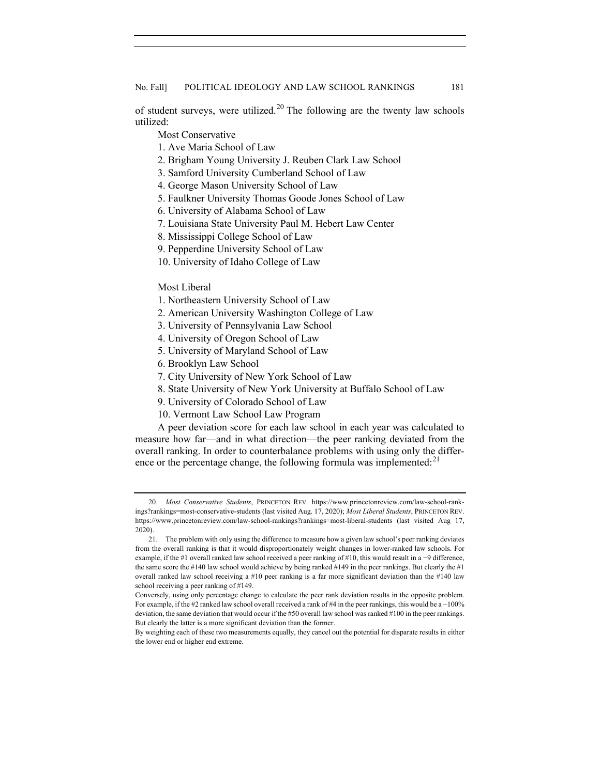of student surveys, were utilized.<sup>[20](#page-3-0)</sup> The following are the twenty law schools utilized:

Most Conservative

- 1. Ave Maria School of Law
- 2. Brigham Young University J. Reuben Clark Law School
- 3. Samford University Cumberland School of Law
- 4. George Mason University School of Law
- 5. Faulkner University Thomas Goode Jones School of Law
- 6. University of Alabama School of Law
- 7. Louisiana State University Paul M. Hebert Law Center
- 8. Mississippi College School of Law
- 9. Pepperdine University School of Law
- 10. University of Idaho College of Law

# Most Liberal

- 1. Northeastern University School of Law
- 2. American University Washington College of Law
- 3. University of Pennsylvania Law School
- 4. University of Oregon School of Law
- 5. University of Maryland School of Law
- 6. Brooklyn Law School
- 7. City University of New York School of Law
- 8. State University of New York University at Buffalo School of Law
- 9. University of Colorado School of Law
- 10. Vermont Law School Law Program

A peer deviation score for each law school in each year was calculated to measure how far—and in what direction—the peer ranking deviated from the overall ranking. In order to counterbalance problems with using only the differ-ence or the percentage change, the following formula was implemented:<sup>[21](#page-3-1)</sup>

<span id="page-3-0"></span><sup>20</sup>*. Most Conservative Students*, PRINCETON REV. https://www.princetonreview.com/law-school-rankings?rankings=most-conservative-students (last visited Aug. 17, 2020); *Most Liberal Students*, PRINCETON REV. https://www.princetonreview.com/law-school-rankings?rankings=most-liberal-students (last visited Aug 17, 2020).

<span id="page-3-1"></span><sup>21.</sup> The problem with only using the difference to measure how a given law school's peer ranking deviates from the overall ranking is that it would disproportionately weight changes in lower-ranked law schools. For example, if the #1 overall ranked law school received a peer ranking of #10, this would result in a −9 difference, the same score the #140 law school would achieve by being ranked #149 in the peer rankings. But clearly the #1 overall ranked law school receiving a #10 peer ranking is a far more significant deviation than the #140 law school receiving a peer ranking of #149.

Conversely, using only percentage change to calculate the peer rank deviation results in the opposite problem. For example, if the #2 ranked law school overall received a rank of #4 in the peer rankings, this would be a −100% deviation, the same deviation that would occur if the #50 overall law school was ranked #100 in the peer rankings. But clearly the latter is a more significant deviation than the former.

By weighting each of these two measurements equally, they cancel out the potential for disparate results in either the lower end or higher end extreme.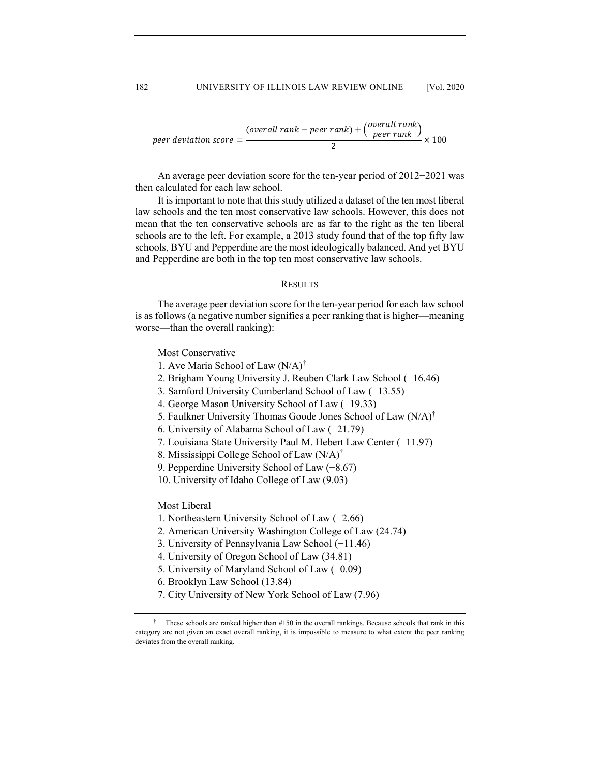$$
peer deviation score = \frac{(overall rank - peer rank) + (\frac{overall rank}{peer rank})}{2} \times 100
$$

An average peer deviation score for the ten-year period of 2012−2021 was then calculated for each law school.

It is important to note that this study utilized a dataset of the ten most liberal law schools and the ten most conservative law schools. However, this does not mean that the ten conservative schools are as far to the right as the ten liberal schools are to the left. For example, a 2013 study found that of the top fifty law schools, BYU and Pepperdine are the most ideologically balanced. And yet BYU and Pepperdine are both in the top ten most conservative law schools.

## RESULTS

The average peer deviation score for the ten-year period for each law school is as follows (a negative number signifies a peer ranking that is higher—meaning worse—than the overall ranking):

Most Conservative

- 1. Ave Maria School of Law  $(N/A)^{\dagger}$
- 2. Brigham Young University J. Reuben Clark Law School (−16.46)
- 3. Samford University Cumberland School of Law (−13.55)
- 4. George Mason University School of Law (−19.33)
- 5. Faulkner University Thomas Goode Jones School of Law (N/A)†
- 6. University of Alabama School of Law (−21.79)
- 7. Louisiana State University Paul M. Hebert Law Center (−11.97)
- 8. Mississippi College School of Law (N/A)†
- 9. Pepperdine University School of Law (−8.67)
- 10. University of Idaho College of Law (9.03)

Most Liberal

- 1. Northeastern University School of Law (−2.66)
- 2. American University Washington College of Law (24.74)
- 3. University of Pennsylvania Law School (−11.46)
- 4. University of Oregon School of Law (34.81)
- 5. University of Maryland School of Law (−0.09)
- 6. Brooklyn Law School (13.84)
- 7. City University of New York School of Law (7.96)

<span id="page-4-0"></span><sup>†</sup> These schools are ranked higher than #150 in the overall rankings. Because schools that rank in this category are not given an exact overall ranking, it is impossible to measure to what extent the peer ranking deviates from the overall ranking.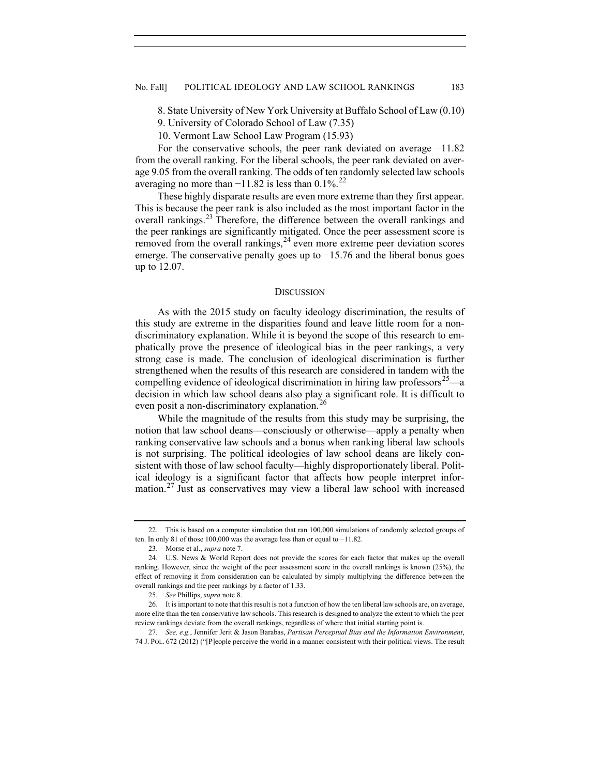8. State University of New York University at Buffalo School of Law (0.10)

9. University of Colorado School of Law (7.35)

10. Vermont Law School Law Program (15.93)

For the conservative schools, the peer rank deviated on average −11.82 from the overall ranking. For the liberal schools, the peer rank deviated on average 9.05 from the overall ranking. The odds of ten randomly selected law schools averaging no more than  $-11.82$  is less than 0.1%.<sup>[22](#page-5-0)</sup>

These highly disparate results are even more extreme than they first appear. This is because the peer rank is also included as the most important factor in the overall rankings.<sup>[23](#page-5-1)</sup> Therefore, the difference between the overall rankings and the peer rankings are significantly mitigated. Once the peer assessment score is removed from the overall rankings,  $24$  even more extreme peer deviation scores emerge. The conservative penalty goes up to −15.76 and the liberal bonus goes up to 12.07.

## **DISCUSSION**

As with the 2015 study on faculty ideology discrimination, the results of this study are extreme in the disparities found and leave little room for a nondiscriminatory explanation. While it is beyond the scope of this research to emphatically prove the presence of ideological bias in the peer rankings, a very strong case is made. The conclusion of ideological discrimination is further strengthened when the results of this research are considered in tandem with the compelling evidence of ideological discrimination in hiring law professors<sup>25</sup>—a decision in which law school deans also play a significant role. It is difficult to even posit a non-discriminatory explanation.<sup>[26](#page-5-4)</sup>

While the magnitude of the results from this study may be surprising, the notion that law school deans—consciously or otherwise—apply a penalty when ranking conservative law schools and a bonus when ranking liberal law schools is not surprising. The political ideologies of law school deans are likely consistent with those of law school faculty—highly disproportionately liberal. Political ideology is a significant factor that affects how people interpret infor-mation.<sup>[27](#page-5-5)</sup> Just as conservatives may view a liberal law school with increased

<span id="page-5-0"></span><sup>22.</sup> This is based on a computer simulation that ran 100,000 simulations of randomly selected groups of ten. In only 81 of those 100,000 was the average less than or equal to −11.82.

<sup>23.</sup> Morse et al., *supra* note 7.

<span id="page-5-2"></span><span id="page-5-1"></span><sup>24.</sup> U.S. News & World Report does not provide the scores for each factor that makes up the overall ranking. However, since the weight of the peer assessment score in the overall rankings is known (25%), the effect of removing it from consideration can be calculated by simply multiplying the difference between the overall rankings and the peer rankings by a factor of 1.33.

<sup>25</sup>*. See* Phillips, *supra* not[e 8.](#page-1-0)

<span id="page-5-4"></span><span id="page-5-3"></span><sup>26.</sup> It is important to note that this result is not a function of how the ten liberal law schools are, on average, more elite than the ten conservative law schools. This research is designed to analyze the extent to which the peer review rankings deviate from the overall rankings, regardless of where that initial starting point is.

<span id="page-5-5"></span><sup>27</sup>*. See, e.g.*, Jennifer Jerit & Jason Barabas, *Partisan Perceptual Bias and the Information Environment*, 74 J. POL. 672 (2012) ("[P]eople perceive the world in a manner consistent with their political views. The result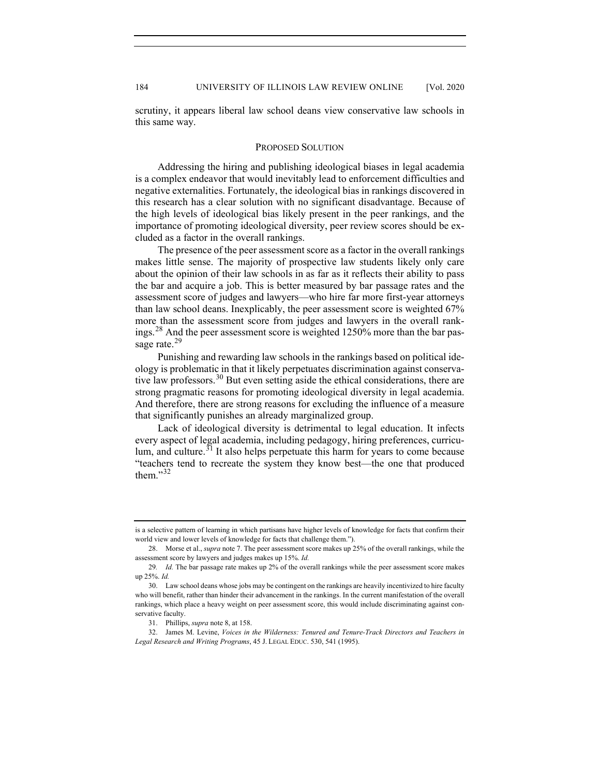scrutiny, it appears liberal law school deans view conservative law schools in this same way.

#### PROPOSED SOLUTION

Addressing the hiring and publishing ideological biases in legal academia is a complex endeavor that would inevitably lead to enforcement difficulties and negative externalities. Fortunately, the ideological bias in rankings discovered in this research has a clear solution with no significant disadvantage. Because of the high levels of ideological bias likely present in the peer rankings, and the importance of promoting ideological diversity, peer review scores should be excluded as a factor in the overall rankings.

The presence of the peer assessment score as a factor in the overall rankings makes little sense. The majority of prospective law students likely only care about the opinion of their law schools in as far as it reflects their ability to pass the bar and acquire a job. This is better measured by bar passage rates and the assessment score of judges and lawyers—who hire far more first-year attorneys than law school deans. Inexplicably, the peer assessment score is weighted 67% more than the assessment score from judges and lawyers in the overall rank-ings.<sup>[28](#page-6-0)</sup> And the peer assessment score is weighted 1250% more than the bar pas-sage rate.<sup>[29](#page-6-1)</sup>

Punishing and rewarding law schools in the rankings based on political ideology is problematic in that it likely perpetuates discrimination against conserva-tive law professors.<sup>[30](#page-6-2)</sup> But even setting aside the ethical considerations, there are strong pragmatic reasons for promoting ideological diversity in legal academia. And therefore, there are strong reasons for excluding the influence of a measure that significantly punishes an already marginalized group.

Lack of ideological diversity is detrimental to legal education. It infects every aspect of legal academia, including pedagogy, hiring preferences, curriculum, and culture. $31$  It also helps perpetuate this harm for years to come because "teachers tend to recreate the system they know best—the one that produced them."[32](#page-6-4)

is a selective pattern of learning in which partisans have higher levels of knowledge for facts that confirm their world view and lower levels of knowledge for facts that challenge them.").

<span id="page-6-0"></span><sup>28.</sup> Morse et al., *supra* not[e 7.](#page-1-9) The peer assessment score makes up 25% of the overall rankings, while the assessment score by lawyers and judges makes up 15%. *Id.*

<span id="page-6-1"></span><sup>29</sup>*. Id.* The bar passage rate makes up 2% of the overall rankings while the peer assessment score makes up 25%. *Id.*

<span id="page-6-2"></span><sup>30.</sup> Law school deans whose jobs may be contingent on the rankings are heavily incentivized to hire faculty who will benefit, rather than hinder their advancement in the rankings. In the current manifestation of the overall rankings, which place a heavy weight on peer assessment score, this would include discriminating against conservative faculty.

<sup>31.</sup> Phillips, *supra* not[e 8,](#page-1-0) at 158.

<span id="page-6-4"></span><span id="page-6-3"></span><sup>32.</sup> James M. Levine, *Voices in the Wilderness: Tenured and Tenure-Track Directors and Teachers in Legal Research and Writing Programs*, 45 J. LEGAL EDUC. 530, 541 (1995).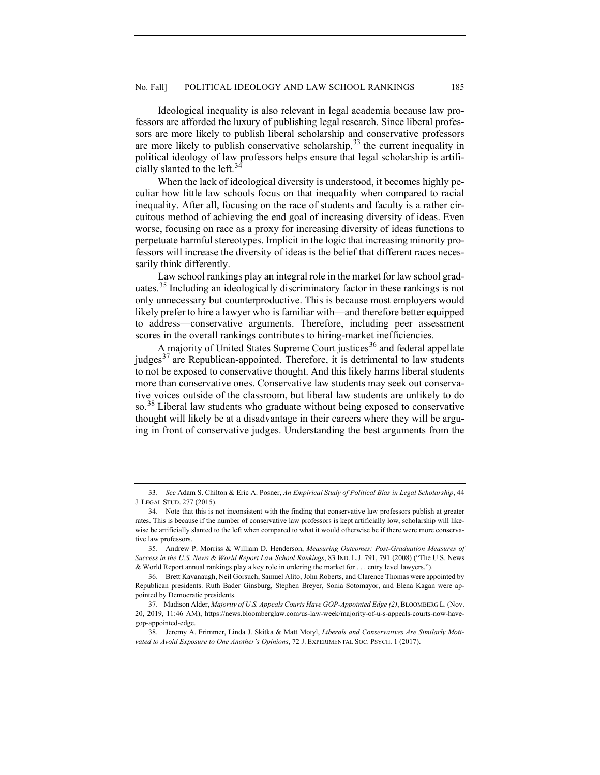Ideological inequality is also relevant in legal academia because law professors are afforded the luxury of publishing legal research. Since liberal professors are more likely to publish liberal scholarship and conservative professors are more likely to publish conservative scholarship,  $33$  the current inequality in political ideology of law professors helps ensure that legal scholarship is artifi-cially slanted to the left.<sup>[34](#page-7-1)</sup>

When the lack of ideological diversity is understood, it becomes highly peculiar how little law schools focus on that inequality when compared to racial inequality. After all, focusing on the race of students and faculty is a rather circuitous method of achieving the end goal of increasing diversity of ideas. Even worse, focusing on race as a proxy for increasing diversity of ideas functions to perpetuate harmful stereotypes. Implicit in the logic that increasing minority professors will increase the diversity of ideas is the belief that different races necessarily think differently.

Law school rankings play an integral role in the market for law school grad-uates.<sup>[35](#page-7-2)</sup> Including an ideologically discriminatory factor in these rankings is not only unnecessary but counterproductive. This is because most employers would likely prefer to hire a lawyer who is familiar with—and therefore better equipped to address—conservative arguments. Therefore, including peer assessment scores in the overall rankings contributes to hiring-market inefficiencies.

A majority of United States Supreme Court justices<sup>[36](#page-7-3)</sup> and federal appellate judges<sup>[37](#page-7-4)</sup> are Republican-appointed. Therefore, it is detrimental to law students to not be exposed to conservative thought. And this likely harms liberal students more than conservative ones. Conservative law students may seek out conservative voices outside of the classroom, but liberal law students are unlikely to do so.<sup>[38](#page-7-5)</sup> Liberal law students who graduate without being exposed to conservative thought will likely be at a disadvantage in their careers where they will be arguing in front of conservative judges. Understanding the best arguments from the

<span id="page-7-0"></span><sup>33.</sup> *See* Adam S. Chilton & Eric A. Posner, *An Empirical Study of Political Bias in Legal Scholarship*, 44 J. LEGAL STUD. 277 (2015).

<span id="page-7-1"></span><sup>34.</sup> Note that this is not inconsistent with the finding that conservative law professors publish at greater rates. This is because if the number of conservative law professors is kept artificially low, scholarship will likewise be artificially slanted to the left when compared to what it would otherwise be if there were more conservative law professors.

<span id="page-7-2"></span><sup>35.</sup> Andrew P. Morriss & William D. Henderson, *Measuring Outcomes: Post-Graduation Measures of Success in the U.S. News & World Report Law School Rankings*, 83 IND. L.J. 791, 791 (2008) ("The U.S. News & World Report annual rankings play a key role in ordering the market for . . . entry level lawyers.").

<span id="page-7-3"></span><sup>36.</sup> Brett Kavanaugh, Neil Gorsuch, Samuel Alito, John Roberts, and Clarence Thomas were appointed by Republican presidents. Ruth Bader Ginsburg, Stephen Breyer, Sonia Sotomayor, and Elena Kagan were appointed by Democratic presidents.

<span id="page-7-4"></span><sup>37.</sup> Madison Alder, *Majority of U.S. Appeals Courts Have GOP-Appointed Edge (2)*, BLOOMBERG L. (Nov. 20, 2019, 11:46 AM), https://news.bloomberglaw.com/us-law-week/majority-of-u-s-appeals-courts-now-havegop-appointed-edge.

<span id="page-7-5"></span><sup>38.</sup> Jeremy A. Frimmer, Linda J. Skitka & Matt Motyl, *Liberals and Conservatives Are Similarly Motivated to Avoid Exposure to One Another's Opinions*, 72 J. EXPERIMENTAL SOC. PSYCH. 1 (2017).